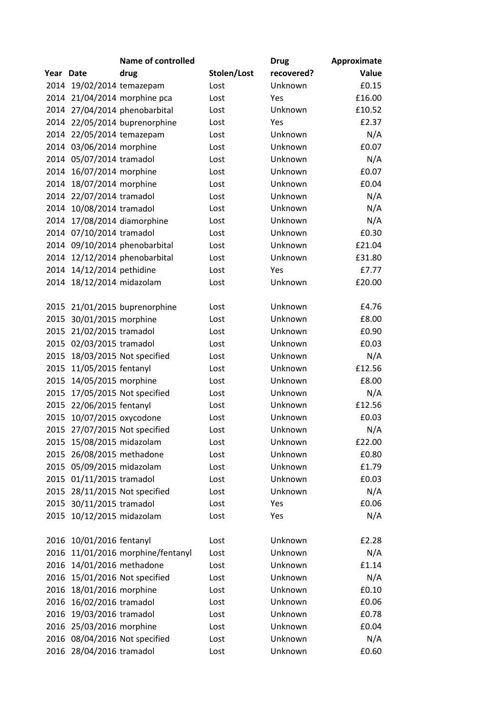|           |                           | <b>Name of controlled</b>     |             | <b>Drug</b> | Approximate |
|-----------|---------------------------|-------------------------------|-------------|-------------|-------------|
| Year Date |                           | drug                          | Stolen/Lost | recovered?  | Value       |
|           | 2014 19/02/2014 temazepam |                               | Lost        | Unknown     | £0.15       |
| 2014      |                           | 21/04/2014 morphine pca       | Lost        | Yes         | £16.00      |
|           |                           | 2014 27/04/2014 phenobarbital | Lost        | Unknown     | £10.52      |
|           |                           | 2014 22/05/2014 buprenorphine | Lost        | Yes         | £2.37       |
|           | 2014 22/05/2014 temazepam |                               | Lost        | Unknown     | N/A         |
|           | 2014 03/06/2014 morphine  |                               | Lost        | Unknown     | £0.07       |
|           | 2014 05/07/2014 tramadol  |                               | Lost        | Unknown     | N/A         |
| 2014      | 16/07/2014 morphine       |                               | Lost        | Unknown     | £0.07       |
| 2014      | 18/07/2014 morphine       |                               | Lost        | Unknown     | £0.04       |
|           | 2014 22/07/2014 tramadol  |                               | Lost        | Unknown     | N/A         |
| 2014      | 10/08/2014 tramadol       |                               | Lost        | Unknown     | N/A         |
| 2014      |                           | 17/08/2014 diamorphine        | Lost        | Unknown     | N/A         |
|           | 2014 07/10/2014 tramadol  |                               | Lost        | Unknown     | £0.30       |
|           |                           | 2014 09/10/2014 phenobarbital | Lost        | Unknown     | £21.04      |
|           |                           | 2014 12/12/2014 phenobarbital | Lost        | Unknown     | £31.80      |
| 2014      | 14/12/2014 pethidine      |                               | Lost        | Yes         | £7.77       |
| 2014      | 18/12/2014 midazolam      |                               | Lost        | Unknown     | £20.00      |
|           |                           |                               |             |             |             |
| 2015      |                           | 21/01/2015 buprenorphine      | Lost        | Unknown     | £4.76       |
| 2015      | 30/01/2015 morphine       |                               | Lost        | Unknown     | £8.00       |
| 2015      | 21/02/2015 tramadol       |                               | Lost        | Unknown     | £0.90       |
| 2015      | 02/03/2015 tramadol       |                               | Lost        | Unknown     | £0.03       |
| 2015      |                           | 18/03/2015 Not specified      | Lost        | Unknown     | N/A         |
| 2015      | 11/05/2015 fentanyl       |                               | Lost        | Unknown     | £12.56      |
| 2015      | 14/05/2015 morphine       |                               | Lost        | Unknown     | £8.00       |
| 2015      |                           | 17/05/2015 Not specified      | Lost        | Unknown     | N/A         |
| 2015      | 22/06/2015 fentanyl       |                               | Lost        | Unknown     | £12.56      |
| 2015      | 10/07/2015 oxycodone      |                               | Lost        | Unknown     | £0.03       |
| 2015      |                           | 27/07/2015 Not specified      | Lost        | Unknown     | N/A         |
| 2015      | 15/08/2015 midazolam      |                               | Lost        | Unknown     | £22.00      |
| 2015      | 26/08/2015 methadone      |                               | Lost        | Unknown     | £0.80       |
|           | 2015 05/09/2015 midazolam |                               | Lost        | Unknown     | £1.79       |
| 2015      | 01/11/2015 tramadol       |                               | Lost        | Unknown     | £0.03       |
|           |                           | 2015 28/11/2015 Not specified | Lost        | Unknown     | N/A         |
| 2015      | 30/11/2015 tramadol       |                               | Lost        | Yes         | £0.06       |
| 2015      | 10/12/2015 midazolam      |                               | Lost        | Yes         | N/A         |
|           |                           |                               |             |             |             |
| 2016      | 10/01/2016 fentanyl       |                               | Lost        | Unknown     | £2.28       |
| 2016      |                           | 11/01/2016 morphine/fentanyl  | Lost        | Unknown     | N/A         |
| 2016      | 14/01/2016 methadone      |                               | Lost        | Unknown     | £1.14       |
| 2016      |                           | 15/01/2016 Not specified      | Lost        | Unknown     | N/A         |
| 2016      | 18/01/2016 morphine       |                               | Lost        | Unknown     | £0.10       |
| 2016      | 16/02/2016 tramadol       |                               | Lost        | Unknown     | £0.06       |
| 2016      | 19/03/2016 tramadol       |                               | Lost        | Unknown     | £0.78       |
| 2016      | 25/03/2016 morphine       |                               | Lost        | Unknown     | £0.04       |
|           |                           | 2016 08/04/2016 Not specified | Lost        | Unknown     | N/A         |
| 2016      | 28/04/2016 tramadol       |                               | Lost        | Unknown     | £0.60       |